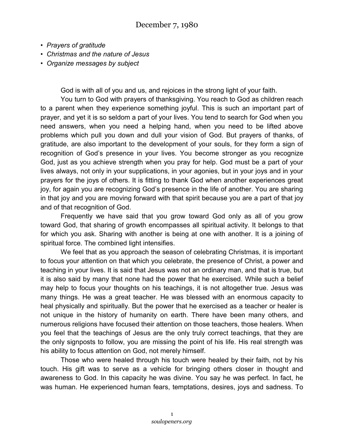- *Prayers of gratitude*
- *Christmas and the nature of Jesus*
- *Organize messages by subject*

God is with all of you and us, and rejoices in the strong light of your faith.

You turn to God with prayers of thanksgiving. You reach to God as children reach to a parent when they experience something joyful. This is such an important part of prayer, and yet it is so seldom a part of your lives. You tend to search for God when you need answers, when you need a helping hand, when you need to be lifted above problems which pull you down and dull your vision of God. But prayers of thanks, of gratitude, are also important to the development of your souls, for they form a sign of recognition of God's presence in your lives. You become stronger as you recognize God, just as you achieve strength when you pray for help. God must be a part of your lives always, not only in your supplications, in your agonies, but in your joys and in your prayers for the joys of others. It is fitting to thank God when another experiences great joy, for again you are recognizing God's presence in the life of another. You are sharing in that joy and you are moving forward with that spirit because you are a part of that joy and of that recognition of God.

Frequently we have said that you grow toward God only as all of you grow toward God, that sharing of growth encompasses all spiritual activity. It belongs to that for which you ask. Sharing with another is being at one with another. It is a joining of spiritual force. The combined light intensifies.

We feel that as you approach the season of celebrating Christmas, it is important to focus your attention on that which you celebrate, the presence of Christ, a power and teaching in your lives. It is said that Jesus was not an ordinary man, and that is true, but it is also said by many that none had the power that he exercised. While such a belief may help to focus your thoughts on his teachings, it is not altogether true. Jesus was many things. He was a great teacher. He was blessed with an enormous capacity to heal physically and spiritually. But the power that he exercised as a teacher or healer is not unique in the history of humanity on earth. There have been many others, and numerous religions have focused their attention on those teachers, those healers. When you feel that the teachings of Jesus are the only truly correct teachings, that they are the only signposts to follow, you are missing the point of his life. His real strength was his ability to focus attention on God, not merely himself.

Those who were healed through his touch were healed by their faith, not by his touch. His gift was to serve as a vehicle for bringing others closer in thought and awareness to God. In this capacity he was divine. You say he was perfect. In fact, he was human. He experienced human fears, temptations, desires, joys and sadness. To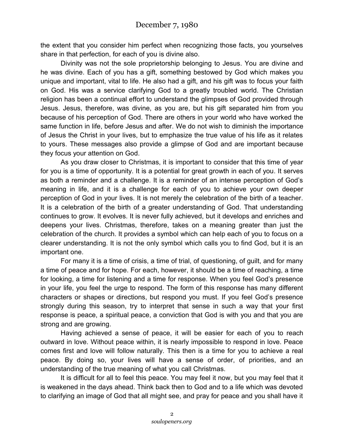the extent that you consider him perfect when recognizing those facts, you yourselves share in that perfection, for each of you is divine also.

Divinity was not the sole proprietorship belonging to Jesus. You are divine and he was divine. Each of you has a gift, something bestowed by God which makes you unique and important, vital to life. He also had a gift, and his gift was to focus your faith on God. His was a service clarifying God to a greatly troubled world. The Christian religion has been a continual effort to understand the glimpses of God provided through Jesus. Jesus, therefore, was divine, as you are, but his gift separated him from you because of his perception of God. There are others in your world who have worked the same function in life, before Jesus and after. We do not wish to diminish the importance of Jesus the Christ in your lives, but to emphasize the true value of his life as it relates to yours. These messages also provide a glimpse of God and are important because they focus your attention on God.

As you draw closer to Christmas, it is important to consider that this time of year for you is a time of opportunity. It is a potential for great growth in each of you. It serves as both a reminder and a challenge. It is a reminder of an intense perception of God's meaning in life, and it is a challenge for each of you to achieve your own deeper perception of God in your lives. It is not merely the celebration of the birth of a teacher. It is a celebration of the birth of a greater understanding of God. That understanding continues to grow. It evolves. It is never fully achieved, but it develops and enriches and deepens your lives. Christmas, therefore, takes on a meaning greater than just the celebration of the church. It provides a symbol which can help each of you to focus on a clearer understanding. It is not the only symbol which calls you to find God, but it is an important one.

For many it is a time of crisis, a time of trial, of questioning, of guilt, and for many a time of peace and for hope. For each, however, it should be a time of reaching, a time for looking, a time for listening and a time for response. When you feel God's presence in your life, you feel the urge to respond. The form of this response has many different characters or shapes or directions, but respond you must. If you feel God's presence strongly during this season, try to interpret that sense in such a way that your first response is peace, a spiritual peace, a conviction that God is with you and that you are strong and are growing.

Having achieved a sense of peace, it will be easier for each of you to reach outward in love. Without peace within, it is nearly impossible to respond in love. Peace comes first and love will follow naturally. This then is a time for you to achieve a real peace. By doing so, your lives will have a sense of order, of priorities, and an understanding of the true meaning of what you call Christmas.

It is difficult for all to feel this peace. You may feel it now, but you may feel that it is weakened in the days ahead. Think back then to God and to a life which was devoted to clarifying an image of God that all might see, and pray for peace and you shall have it